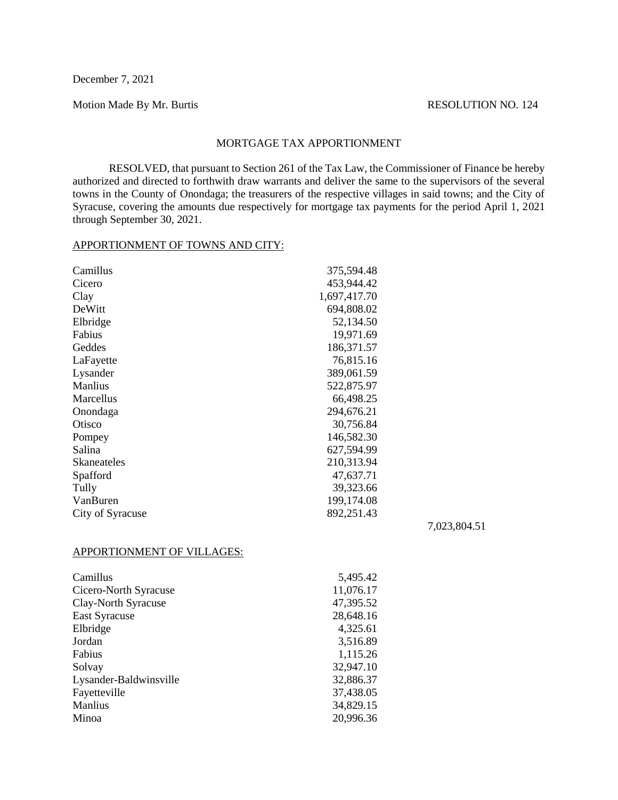December 7, 2021

Motion Made By Mr. Burtis RESOLUTION NO. 124

## MORTGAGE TAX APPORTIONMENT

RESOLVED, that pursuant to Section 261 of the Tax Law, the Commissioner of Finance be hereby authorized and directed to forthwith draw warrants and deliver the same to the supervisors of the several towns in the County of Onondaga; the treasurers of the respective villages in said towns; and the City of Syracuse, covering the amounts due respectively for mortgage tax payments for the period April 1, 2021 through September 30, 2021.

## APPORTIONMENT OF TOWNS AND CITY:

Camillus 375,594.48

| Cicero                     | 453,944.42   |              |
|----------------------------|--------------|--------------|
| Clay                       | 1,697,417.70 |              |
| DeWitt                     | 694,808.02   |              |
| Elbridge                   | 52,134.50    |              |
| Fabius                     | 19,971.69    |              |
| Geddes                     | 186,371.57   |              |
| LaFayette                  | 76,815.16    |              |
| Lysander                   | 389,061.59   |              |
| Manlius                    | 522,875.97   |              |
| Marcellus                  | 66,498.25    |              |
| Onondaga                   | 294,676.21   |              |
| Otisco                     | 30,756.84    |              |
| Pompey                     | 146,582.30   |              |
| Salina                     | 627,594.99   |              |
| <b>Skaneateles</b>         | 210,313.94   |              |
| Spafford                   | 47,637.71    |              |
| Tully                      | 39,323.66    |              |
| VanBuren                   | 199,174.08   |              |
| City of Syracuse           | 892,251.43   |              |
|                            |              | 7,023,804.51 |
| APPORTIONMENT OF VILLAGES: |              |              |
| Camillus                   | 5,495.42     |              |
| Cicero-North Syracuse      | 11,076.17    |              |
| Clay-North Syracuse        | 47,395.52    |              |
| <b>East Syracuse</b>       | 28,648.16    |              |
| Elbridge                   | 4,325.61     |              |
| Jordan                     | 3,516.89     |              |
| Fabius                     | 1,115.26     |              |
| Solvay                     | 32,947.10    |              |
| Lysander-Baldwinsville     | 32,886.37    |              |
| Fayetteville               | 37,438.05    |              |

Manlius 34,829.15 Minoa 20,996.36